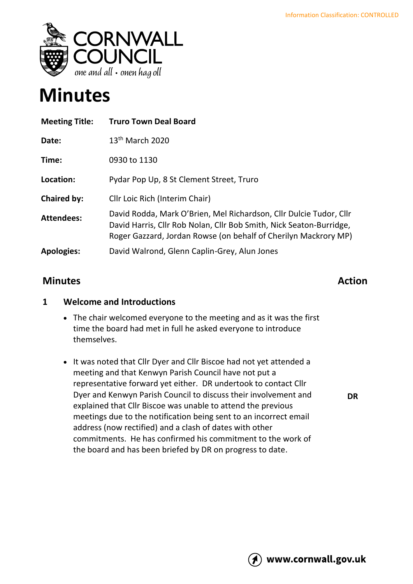

# **Minutes**

| <b>Meeting Title:</b> | <b>Truro Town Deal Board</b>                                                                                                                                                                                 |
|-----------------------|--------------------------------------------------------------------------------------------------------------------------------------------------------------------------------------------------------------|
| Date:                 | $13th$ March 2020                                                                                                                                                                                            |
| Time:                 | 0930 to 1130                                                                                                                                                                                                 |
| Location:             | Pydar Pop Up, 8 St Clement Street, Truro                                                                                                                                                                     |
| <b>Chaired by:</b>    | Cllr Loic Rich (Interim Chair)                                                                                                                                                                               |
| <b>Attendees:</b>     | David Rodda, Mark O'Brien, Mel Richardson, Cllr Dulcie Tudor, Cllr<br>David Harris, Cllr Rob Nolan, Cllr Bob Smith, Nick Seaton-Burridge,<br>Roger Gazzard, Jordan Rowse (on behalf of Cherilyn Mackrory MP) |
| <b>Apologies:</b>     | David Walrond, Glenn Caplin-Grey, Alun Jones                                                                                                                                                                 |

# **Minutes Action**

**DR**

### **1 Welcome and Introductions**

- The chair welcomed everyone to the meeting and as it was the first time the board had met in full he asked everyone to introduce themselves.
- It was noted that Cllr Dyer and Cllr Biscoe had not yet attended a meeting and that Kenwyn Parish Council have not put a representative forward yet either. DR undertook to contact Cllr Dyer and Kenwyn Parish Council to discuss their involvement and explained that Cllr Biscoe was unable to attend the previous meetings due to the notification being sent to an incorrect email address (now rectified) and a clash of dates with other commitments. He has confirmed his commitment to the work of the board and has been briefed by DR on progress to date.

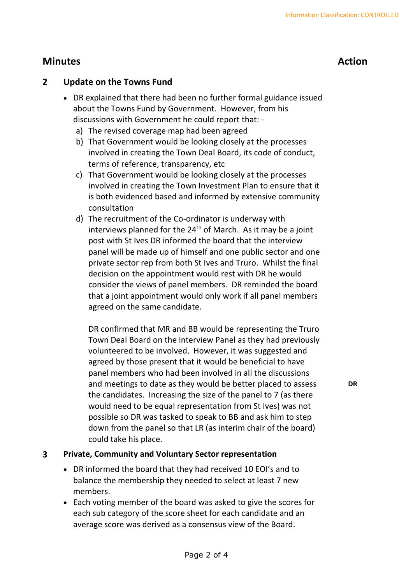# **Minutes Action**

**DR**

### **2 Update on the Towns Fund**

- DR explained that there had been no further formal guidance issued about the Towns Fund by Government. However, from his discussions with Government he could report that:
	- a) The revised coverage map had been agreed
	- b) That Government would be looking closely at the processes involved in creating the Town Deal Board, its code of conduct, terms of reference, transparency, etc
	- c) That Government would be looking closely at the processes involved in creating the Town Investment Plan to ensure that it is both evidenced based and informed by extensive community consultation
	- d) The recruitment of the Co-ordinator is underway with interviews planned for the  $24<sup>th</sup>$  of March. As it may be a joint post with St Ives DR informed the board that the interview panel will be made up of himself and one public sector and one private sector rep from both St Ives and Truro. Whilst the final decision on the appointment would rest with DR he would consider the views of panel members. DR reminded the board that a joint appointment would only work if all panel members agreed on the same candidate.

DR confirmed that MR and BB would be representing the Truro Town Deal Board on the interview Panel as they had previously volunteered to be involved. However, it was suggested and agreed by those present that it would be beneficial to have panel members who had been involved in all the discussions and meetings to date as they would be better placed to assess the candidates. Increasing the size of the panel to 7 (as there would need to be equal representation from St Ives) was not possible so DR was tasked to speak to BB and ask him to step down from the panel so that LR (as interim chair of the board) could take his place.

#### **3 Private, Community and Voluntary Sector representation**

- DR informed the board that they had received 10 EOI's and to balance the membership they needed to select at least 7 new members.
- Each voting member of the board was asked to give the scores for each sub category of the score sheet for each candidate and an average score was derived as a consensus view of the Board.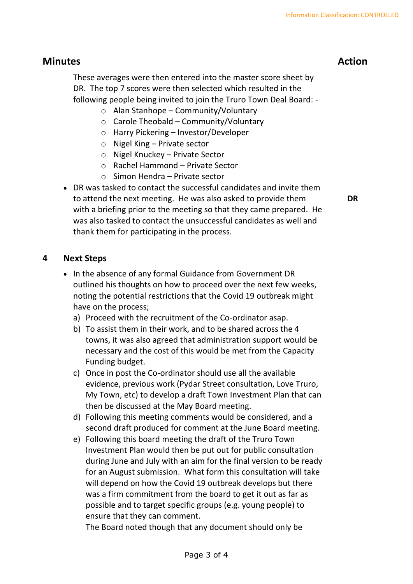# **Minutes Action**

These averages were then entered into the master score sheet by DR. The top 7 scores were then selected which resulted in the following people being invited to join the Truro Town Deal Board: -

- o Alan Stanhope Community/Voluntary
- $\circ$  Carole Theobald Community/Voluntary
- o Harry Pickering Investor/Developer
- o Nigel King Private sector
- o Nigel Knuckey Private Sector
- o Rachel Hammond Private Sector
- o Simon Hendra Private sector
- DR was tasked to contact the successful candidates and invite them to attend the next meeting. He was also asked to provide them with a briefing prior to the meeting so that they came prepared. He was also tasked to contact the unsuccessful candidates as well and thank them for participating in the process.

**4 Next Steps**

- In the absence of any formal Guidance from Government DR outlined his thoughts on how to proceed over the next few weeks, noting the potential restrictions that the Covid 19 outbreak might have on the process;
	- a) Proceed with the recruitment of the Co-ordinator asap.
	- b) To assist them in their work, and to be shared across the 4 towns, it was also agreed that administration support would be necessary and the cost of this would be met from the Capacity Funding budget.
	- c) Once in post the Co-ordinator should use all the available evidence, previous work (Pydar Street consultation, Love Truro, My Town, etc) to develop a draft Town Investment Plan that can then be discussed at the May Board meeting.
	- d) Following this meeting comments would be considered, and a second draft produced for comment at the June Board meeting.
	- e) Following this board meeting the draft of the Truro Town Investment Plan would then be put out for public consultation during June and July with an aim for the final version to be ready for an August submission. What form this consultation will take will depend on how the Covid 19 outbreak develops but there was a firm commitment from the board to get it out as far as possible and to target specific groups (e.g. young people) to ensure that they can comment.

The Board noted though that any document should only be

**DR**